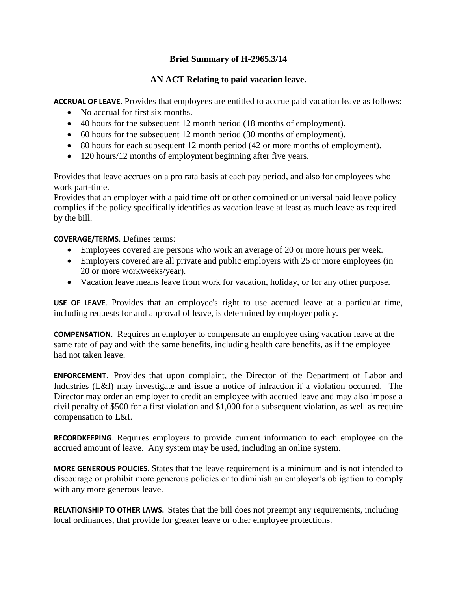## **Brief Summary of H-2965.3/14**

## **AN ACT Relating to paid vacation leave.**

**ACCRUAL OF LEAVE**. Provides that employees are entitled to accrue paid vacation leave as follows:

- No accrual for first six months.
- 40 hours for the subsequent 12 month period (18 months of employment).
- 60 hours for the subsequent 12 month period (30 months of employment).
- 80 hours for each subsequent 12 month period (42 or more months of employment).
- 120 hours/12 months of employment beginning after five years.

Provides that leave accrues on a pro rata basis at each pay period, and also for employees who work part-time.

Provides that an employer with a paid time off or other combined or universal paid leave policy complies if the policy specifically identifies as vacation leave at least as much leave as required by the bill.

## **COVERAGE/TERMS**. Defines terms:

- **Employees** covered are persons who work an average of 20 or more hours per week.
- Employers covered are all private and public employers with 25 or more employees (in 20 or more workweeks/year).
- Vacation leave means leave from work for vacation, holiday, or for any other purpose.

**USE OF LEAVE**. Provides that an employee's right to use accrued leave at a particular time, including requests for and approval of leave, is determined by employer policy.

**COMPENSATION**. Requires an employer to compensate an employee using vacation leave at the same rate of pay and with the same benefits, including health care benefits, as if the employee had not taken leave.

**ENFORCEMENT**. Provides that upon complaint, the Director of the Department of Labor and Industries (L&I) may investigate and issue a notice of infraction if a violation occurred. The Director may order an employer to credit an employee with accrued leave and may also impose a civil penalty of \$500 for a first violation and \$1,000 for a subsequent violation, as well as require compensation to L&I.

**RECORDKEEPING**. Requires employers to provide current information to each employee on the accrued amount of leave. Any system may be used, including an online system.

**MORE GENEROUS POLICIES**. States that the leave requirement is a minimum and is not intended to discourage or prohibit more generous policies or to diminish an employer's obligation to comply with any more generous leave.

**RELATIONSHIP TO OTHER LAWS.** States that the bill does not preempt any requirements, including local ordinances, that provide for greater leave or other employee protections.